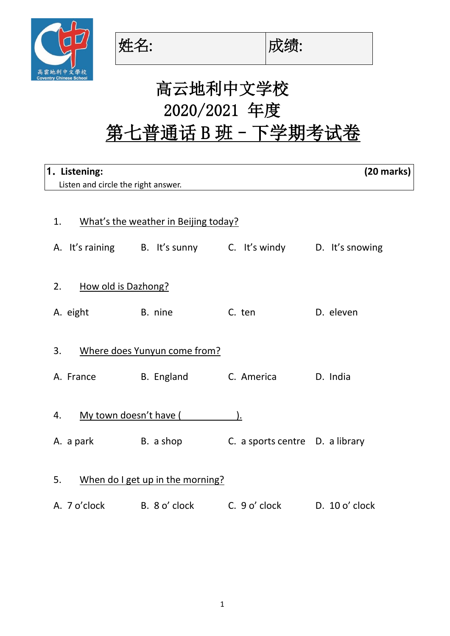

姓名: |成绩:



## 高云地利中文学校 2020/2021 年度 第七普通话 B 班 - 下学期考试卷

| 1. Listening:                          |                                      |                                                             |                                 | $(20$ marks) |  |  |  |
|----------------------------------------|--------------------------------------|-------------------------------------------------------------|---------------------------------|--------------|--|--|--|
|                                        | Listen and circle the right answer.  |                                                             |                                 |              |  |  |  |
|                                        |                                      |                                                             |                                 |              |  |  |  |
| 1.                                     | What's the weather in Beijing today? |                                                             |                                 |              |  |  |  |
|                                        |                                      | A. It's raining B. It's sunny C. It's windy D. It's snowing |                                 |              |  |  |  |
| 2.                                     | How old is Dazhong?                  |                                                             |                                 |              |  |  |  |
|                                        | <b>Example 1</b> B. nine<br>A. eight |                                                             | C. ten                          | D. eleven    |  |  |  |
| 3.                                     |                                      | Where does Yunyun come from?                                |                                 |              |  |  |  |
|                                        |                                      | A. France B. England                                        | C. America                      | D. India     |  |  |  |
| 4.                                     | My town doesn't have (               |                                                             |                                 |              |  |  |  |
|                                        | A. a park B. a shop                  |                                                             | C. a sports centre D. a library |              |  |  |  |
| 5.<br>When do I get up in the morning? |                                      |                                                             |                                 |              |  |  |  |
|                                        | A. 7 o'clock B. 8 o' clock           |                                                             | C. 9 o' clock D. 10 o' clock    |              |  |  |  |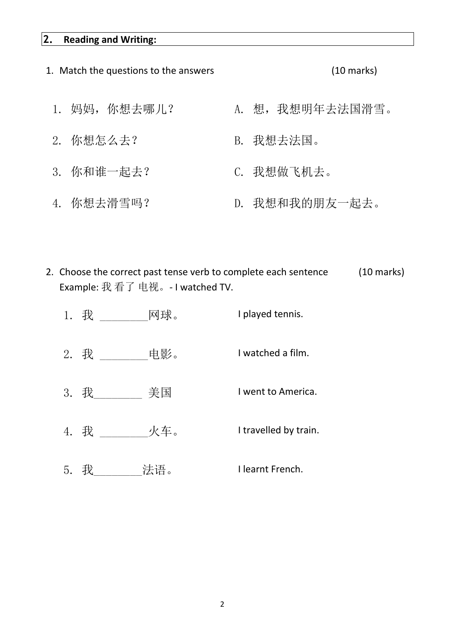## **2. Reading and Writing:**

- 1. Match the questions to the answers (10 marks) 1. 妈妈,你想去哪儿? A. 想,我想明年去法国滑雪。 2. 你想怎么去? [Pack] B. 我想去法国。 3. 你和谁一起去? C. 我想做飞机去。 4. 你想去滑雪吗? D. 我想和我的朋友一起去。
- 2. Choose the correct past tense verb to complete each sentence (10 marks) Example: 我 看了 电视。- I watched TV.
	- 1. 我 \_\_\_\_\_\_\_\_\_网球。 I played tennis. 2. 我 \_\_\_\_\_\_\_\_\_电影。 I watched a film. 3. 我 \_\_\_\_\_\_\_ 美国 \_\_\_\_\_\_\_ I went to America. 4. 我 \_\_\_\_\_\_\_\_ 火车。 I travelled by train. 5. 我\_\_\_\_\_\_\_\_法语。 I learnt French.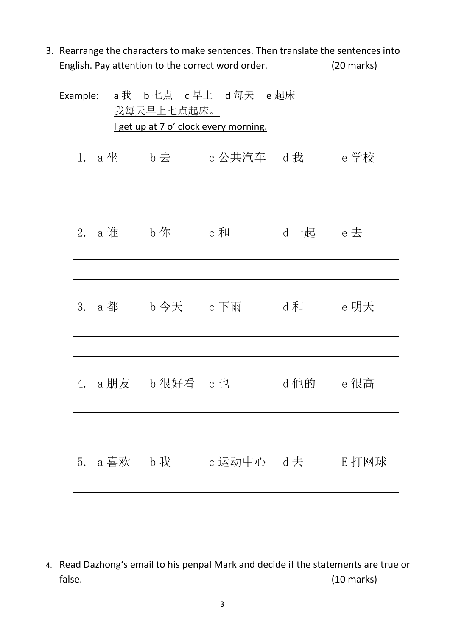3. Rearrange the characters to make sentences. Then translate the sentences into English. Pay attention to the correct word order. (20 marks)

|  |  | <u>我每天早上七点起床。</u> | Example: a 我 b 七点 c 早上 d 每天 e 起床<br>I get up at 7 o' clock every morning. |                                       |             |  |
|--|--|-------------------|---------------------------------------------------------------------------|---------------------------------------|-------------|--|
|  |  |                   |                                                                           | 1. a 坐    b 去    c 公共汽车   d 我    e 学校 |             |  |
|  |  |                   |                                                                           |                                       |             |  |
|  |  |                   | 2. a 谁   b 你    c 和                                                       |                                       | d 一起   e 去  |  |
|  |  |                   |                                                                           |                                       |             |  |
|  |  |                   |                                                                           | 3. a 都 b 今天 c 下雨 d 和 d e 明天           |             |  |
|  |  |                   |                                                                           |                                       |             |  |
|  |  |                   | 4.a朋友  b很好看 c也                                                            |                                       | d 他的   e 很高 |  |
|  |  |                   |                                                                           |                                       |             |  |
|  |  |                   |                                                                           | 5. a 喜欢  b 我    c 运动中心  d 去    E 打网球  |             |  |
|  |  |                   |                                                                           |                                       |             |  |
|  |  |                   |                                                                           |                                       |             |  |

4. Read Dazhong's email to his penpal Mark and decide if the statements are true or false. (10 marks)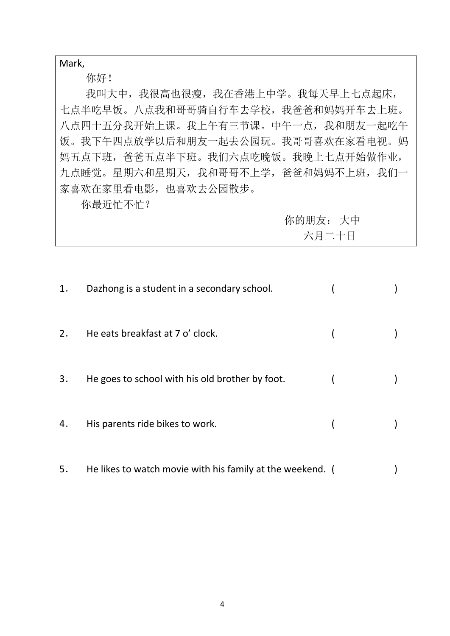Mark,

你好!

 我叫大中,我很高也很瘦,我在香港上中学。我每天早上七点起床, 七点半吃早饭。八点我和哥哥骑自行车去学校,我爸爸和妈妈开车去上班。 八点四十五分我开始上课。我上午有三节课。中午一点,我和朋友一起吃午 饭。我下午四点放学以后和朋友一起去公园玩。我哥哥喜欢在家看电视。妈 妈五点下班,爸爸五点半下班。我们六点吃晚饭。我晚上七点开始做作业, 九点睡觉。星期六和星期天,我和哥哥不上学,爸爸和妈妈不上班,我们一 家喜欢在家里看电影,也喜欢去公园散步。

你最近忙不忙?

| 你的朋友: 大中 |
|----------|
| 六月二十日    |

| 1. | Dazhong is a student in a secondary school.     |  |
|----|-------------------------------------------------|--|
| 2. | He eats breakfast at 7 o' clock.                |  |
| 3. | He goes to school with his old brother by foot. |  |
| 4. | His parents ride bikes to work.                 |  |
|    |                                                 |  |

5. He likes to watch movie with his family at the weekend. (
(